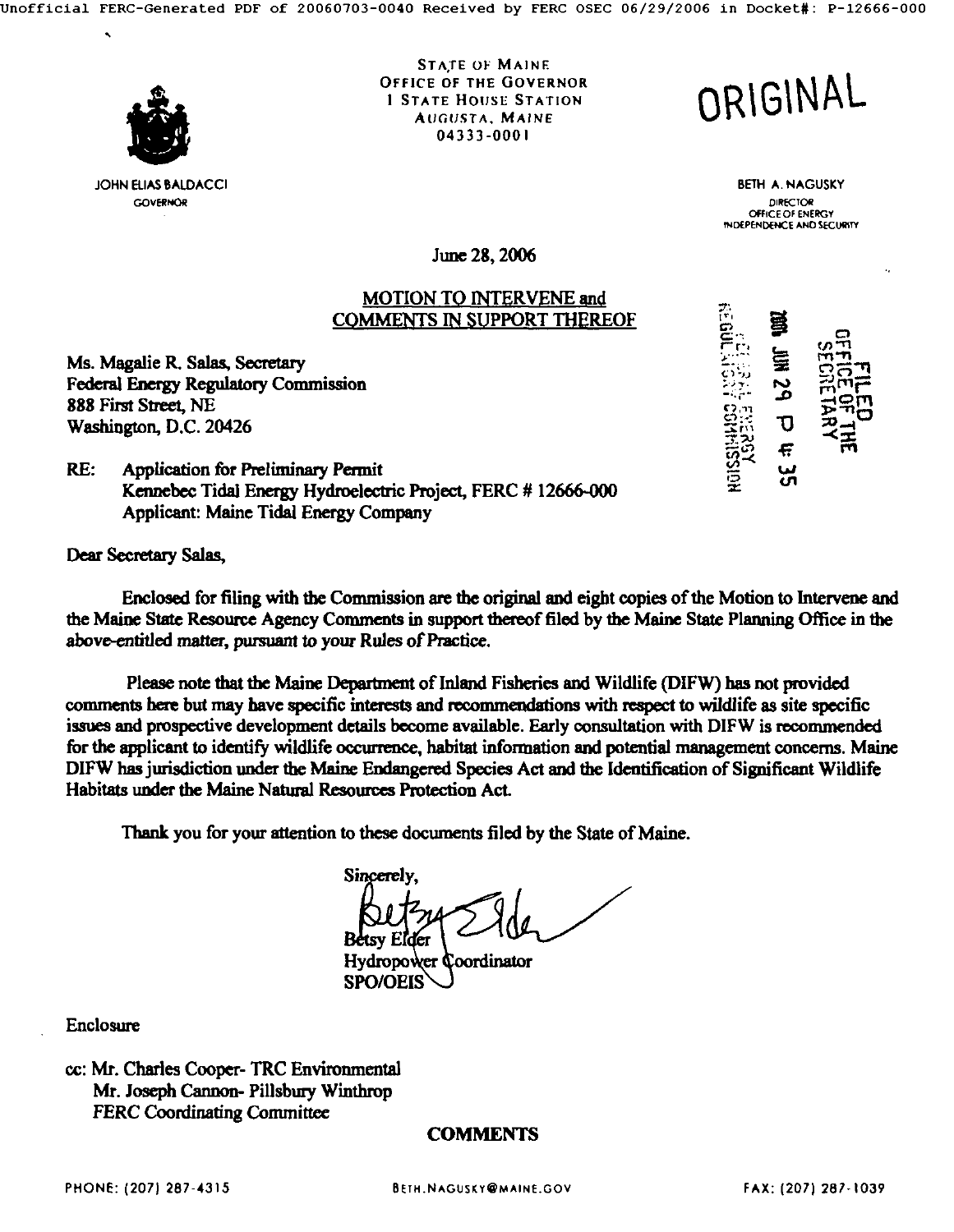

JOHN ELIAS BALDACCI **GOVERNOR** 

**STATE OF MAINE** OFFICE OF THE GOVERNOR 1 STATE HOUSE STATION AUGUSTA, MAINE 04333-0001

**ORIGINAL** 

BETH A. NAGUSKY DIRECTOR OFFICE OF ENERGY INDEPENDENCE AND SECURITY

 $\mathbb{R}^n$ :  $\mathbb{R}^n$  and  $\mathbb{R}^n$  $\mathbb{S}^m$  .  $\mathbb{R}^m$  $\mathbb{R}^{\mathbb{N}}$  . The  $\mathbb{R}^{\mathbb{N}}$ 

<u>स्थि स</u>  $\overline{5}$  ,  $\overline{7}$ 

June 28, 2006

## MOTION TO INTERVENE and COMMENTS IN SUPPORT THEREOF

Ms. Magalie R. Salas, Secretary Federal Energy Regulatory Commission 888 Hrst Street, NE Washington, D.C. 20426

RE: Application for Preliminary Permit Kennebec Tidal Energy Hydroelectric Project, FERC # 12666-000 Applicant: Maine Tidal Energy Company

**Dear Secretary Salas,** 

Enclosed for filing with the Commission are the original and eight copies of the Motion to Intervene and the Maine State Resource Agency Comments in support thereof filed by the Maine State Planning Office in the above-entitled matter, pursuant to your Rules of Practice.

Please note that the Maine Department of Inland Fisheries and Wildlife (DIFW) has not provided comments here but may have specific interests and recommendations with respect to wildlife as site specific issues and prospective development details become available. Early consultation with DIFW is recommended for the applicant to identify wildlife occurrence, habitat information and potential management concerns. Maine DIFW has jurisdiction under the Maine Endangered Species Act and the Identification of Significant Wildlife Habitats under the Maine Natural Resources Protection Act.

Thank you for your attention to these documents filed by the State of Maine.

Sincerely.

**Hydropower Coordinator** SPO/OEIS

**Enclosure** 

cc: Mr. Charles Cooper- TRC Environmental Mr. Joseph Cannon- Pillsbury Winthrop FERC Coordinating Committee

# COMMENTS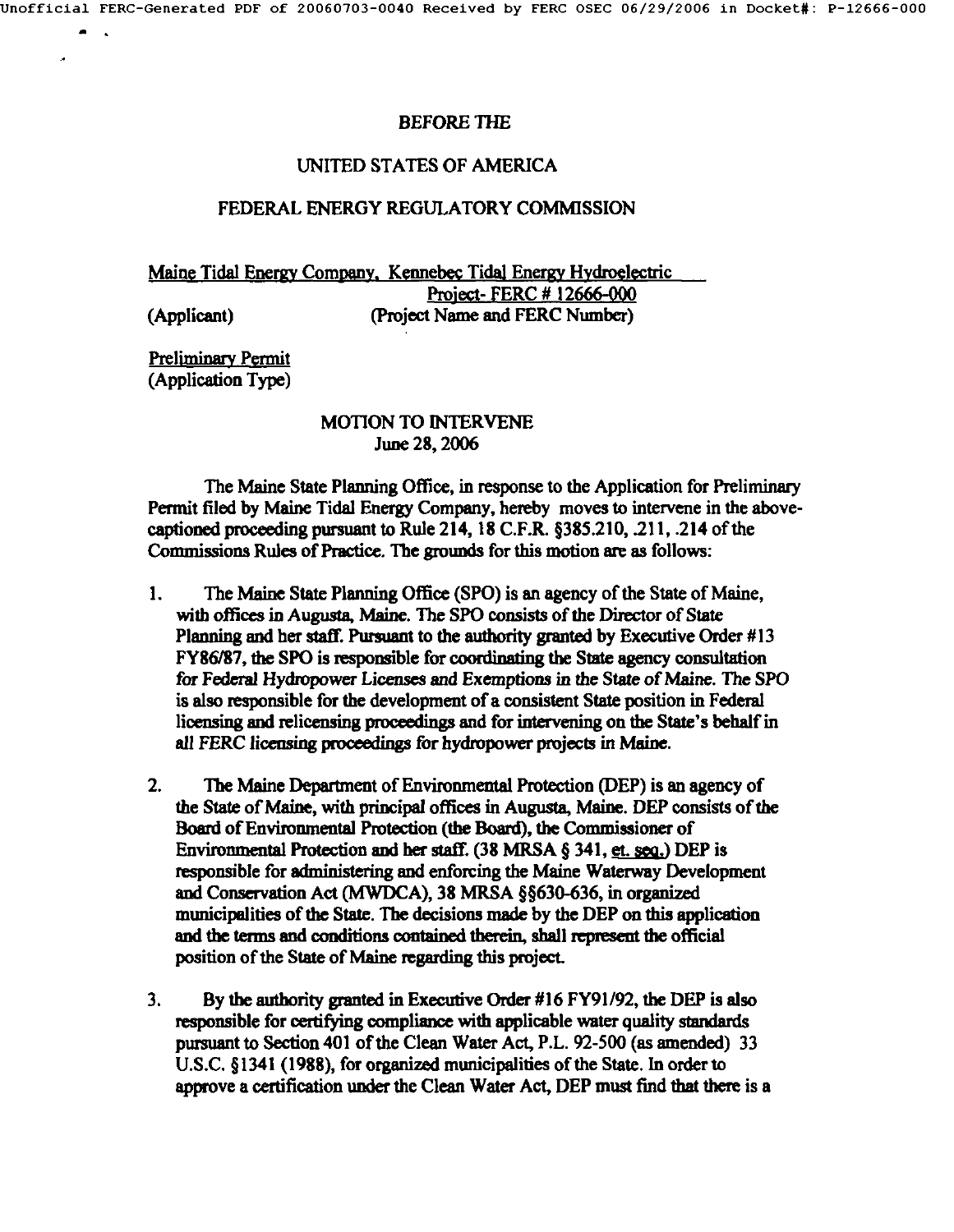#### BEFORE THE

### UNITED STATES OF AMERICA

### FEDERAL ENERGY REGULATORY COMMISSION

Maine Tidal Energy Company, Kennebec Tidal Energy Hydroelectric Project- FERC # 12666-000 (Applicant) (Project Name and FERC Number)

Preliminary Permit (Application Type)

 $\mathcal{A}$ 

## MOTION TO INTERVENE June 28, 2006

The Maine State Planning Office, in response to the Application for Preliminary Permit filed by Maine Tidal Energy Company, hereby moves to intervene in the abovecaptioned proceeding pursuant to Rule 214, 18 C.F.R. §385.210, .211, .214 of the Commissions Rules of Practice. The grounds for this motion are as follows:

- . The Maine State Planning Office (SPO) is an agency of the State of Maine, with offices in Augusta, Maine. The SPO consists of the Director of State Planning and her staff. Pursuant to the authority granted by Executive Order #13 FY86/87, the SPO is responsible for coordinating the State agency consultation for Federal Hydropower Licenses and Exemptions in the State of Maine. The SPO is also responsible for the development of a consistent State position in Federal licensing and relicensing proceedings and for intervening on the State's behalf in all FERC licensing proceedings for hydropower projects in Maine.
- . The Maine Department of Environmental Protection (DEP) is an agency of the State of Maine, with principal offices in Augusta, Maine. DEP consists of the Board of Environmental Protection (the Board), the Commissioner of Environmental Protection and her staff. (38 MRSA  $\S$  341, et. seq.) DEP is responsible for administering and enforcing the Maine Waterway Development and Conservation Act (MWDCA), 38 MRSA §§630-636, in organized municipelities of the State. The decisions made by the DEP on this application and the terms and conditions contained therein, shall represent the official position of the State of Maine regarding this project.
- . By the authority granted in Executive Order #16 FY91/92, the DEP is also responsible for certifying compliance with applicable water quality standards pursuant to Section 401 of the Clean Water Act, P.L. 92-500 (as amended) 33 U.S.C. §1341 (1988), for organized municipalities of the State. In order to approve a certification under the Clean Water Act, DEP must find that there is a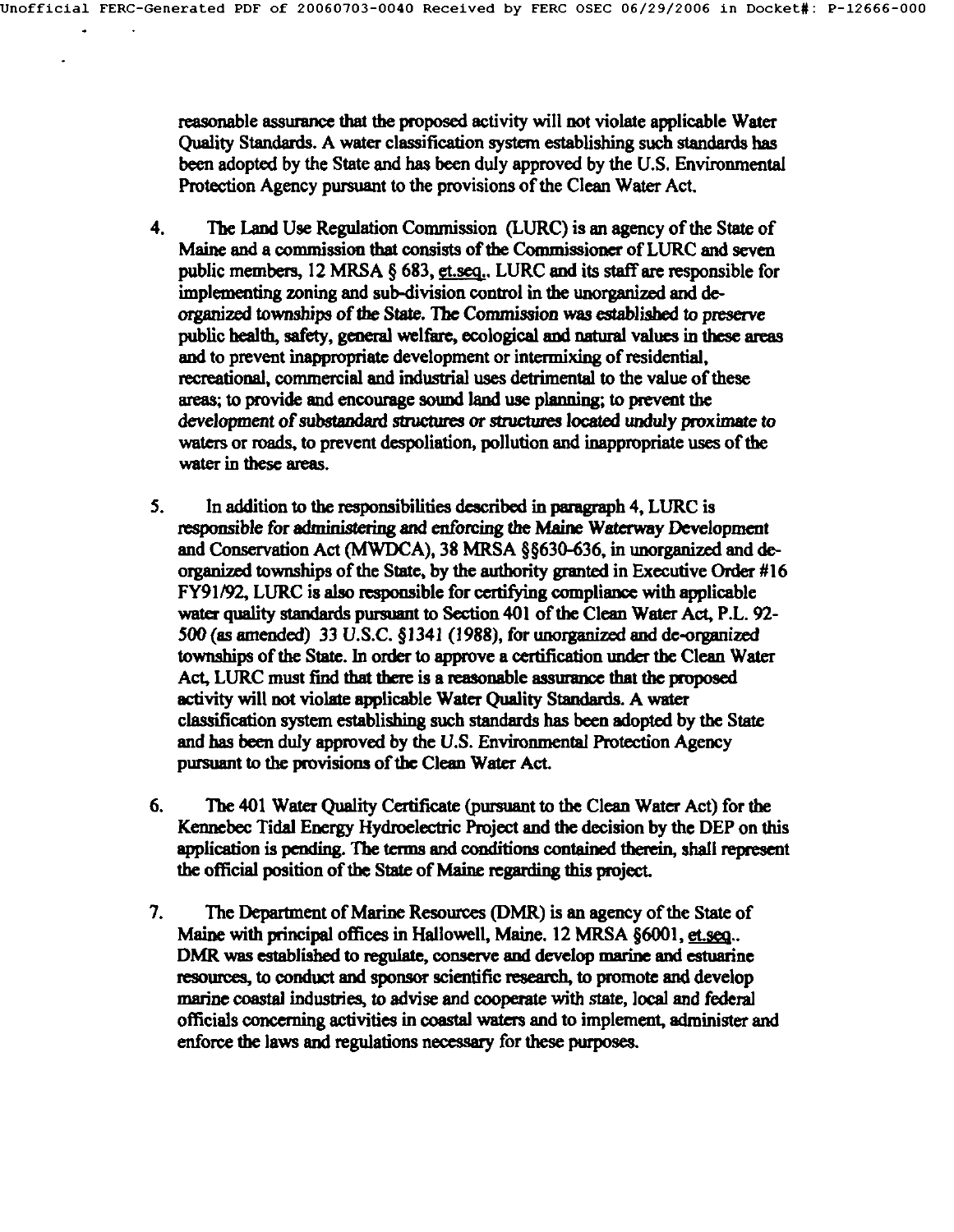$\overline{a}$ 

reasonable assurance that the proposed activity will not violate applicable Water Quality Standards. A water classification system establishing such standards has been adopted by the State and has been duly approved by the U.S. Environmental Protection Agency pursuant to the provisions of the Clean Water Act.

- **.**  The Land Use Regulation Commission (LURC) is an agency of the State of Maine and a commission that consists of the Commissioner of LURC and seven public members, 12 MRSA  $\S$  683, et.seq., LURC and its staff are responsible for implementing zoning and sub-division control in the unorganized and deorganized townships of the State. The Commission was established to preserve public health, safety, general welfare, ecological and natural values in these areas and to prevent inappropriate development or intermixing of residential, recreational, commercial and industrial uses detrimental to the value of these areas; to provide and encourage sound land use planning; to prevent the development of substandard structures or structures located unduly proximate to waters or roads, to prevent despoliation, pollution and inappropriate uses of the water in these areas.
- 5. In addition to the responsibilities described in paragraph 4, LURC is responsible for administering and enforcing the Maine Waterway Development and Conservation Act (MWDCA), 38 MRSA §§630-636, in unorganized and deorganized townships of the State, by the authority granted in Executive Order #16 FY91/92, LURC is also responsible for certifying compliance with applicable water quality standards pursuant to Section 401 of the Clean Water Act, P.L. 92-**<sup>500</sup>**(as amended) 33 U.S.C. § 1341 (1988), for unorganized end de-organized townships of the State. In order to approve a certification under the Clean Water Act, LURC must find that there is a reasonable assurance that the proposed activity will not violate applicable Water Quality Standards. A water classification system establishing such standards has been adopted by the State and has been duly approved by the U.S. Environmental Protection Agency pursuant to the provisions of the Clean Water Act.
- **.**  The 401 Water Quality Certificate (pursuant to the Clean Water Act) for the Kennebec Tidal Energy Hydroelectric Project and the decision by the DEP on this application is pending. The terms and conditions contained therein, shall represent the official position of the State of Maine regarding this project.
- . The Department of Marine Resources (DMR) is an agency of the State of Maine with principal offices in Hallowell, Maine. 12 MRSA §6001, et. seq... DMR was established to regulate, conserve and develop marine and estuarine resources, to conduct and sponsor scientific research, to promote and develop marine coastal industries, to advise and cooperate with state, local and federal officials concerning activities in coastal waters and to implement, administer and enforce the laws and regulations necessary for these purposes.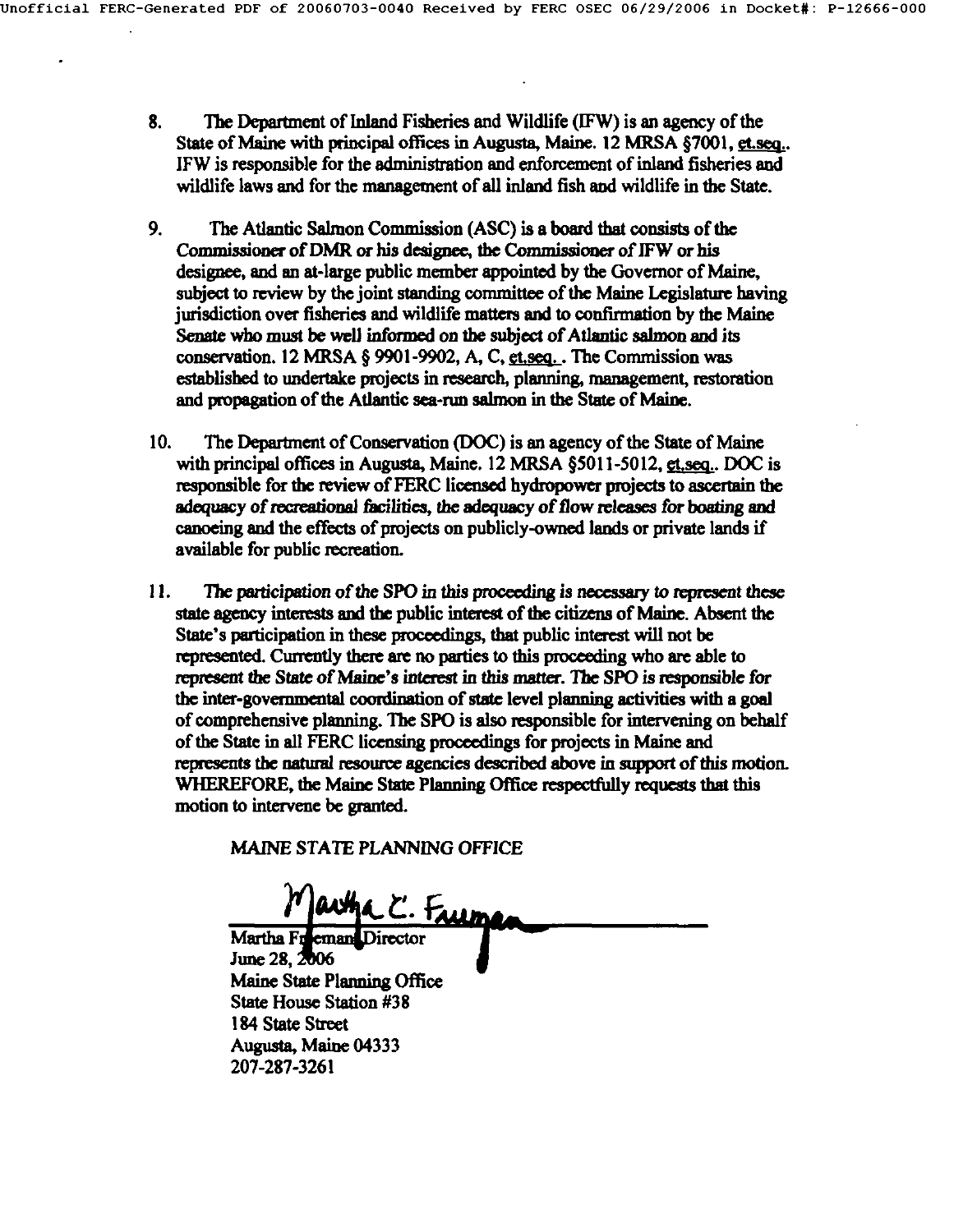- **.** The Department of Inland Fisheries and Wildlife (IFW) is an agency of the State of Maine with principal offices in Augusta, Maine.  $12$  MRSA  $\S7001$ , et seq... IFW is responsible for the administration and enforcement of inland fisheries and wildlife laws and for the management of all inland fish and wildlife in the State.
- **.** The Atlantic Salmon Commission (ASC) is a board that consists of the Commissioner of DMR or his designee, the Commissioner of IFW or his designee, and an at-large public member appointed by the Governor of Maine, subject to review by the joint standing committee of the Maine Legislature having jurisdiction over fisheries and wildlife matters and to confirmation by the Maine Senate who must be well informed on the subject of Atlantic salmon and **its**  conservation. 12 MRSA  $\S$  9901-9902, A, C, et.seq.. The Commission was established to undertake projects in research, planning, management, restoration and propagation of the Atlantic sea-run salmon in the State of Maine.
- 10. The Department of Conservation (DOC) is an agency of the State of Maine with principal offices in Augusta, Maine.  $12$  MRSA §5011-5012,  $g_1$  seq... DOC is responsible for the review of FERC licensed hydropower projects to ascertain the adequacy of recreational facilities, the adequacy of flow releases for boating and canoeing and the effects of projects on publicly-owned lands or private lands if available for public recreation.
- *11. The participation of the SPO in this proceeding is necessary to represent these*  state agency interests and the public interest of the citizens of Maine. Absent the State's participation in these proceedings, that public interest will not be represented. Currently there are no parties to this proceeding who are able to represent the State of Maine's interest in this matter. The SPO is responsible for the inter-governmental coordination of state level planning activities with a goal of comprehensive planning. The SPO is also responsible for imervening on behalf of the State in all FERC licensing proceedings for projects in Maine and represents the natural resource agencies described above in support of this motion. WHEREFORE, the Maine State Planning Office respectfully requests that this motion to intervene be granted.

MAINE STATE PLANNING OFFICE

artha C. Fruma Martha Freeman Director June 28, 2006 Maine State Planning Office State House Station **#38 <sup>184</sup>**State Street Augusta, Maine 04333 207-287-3261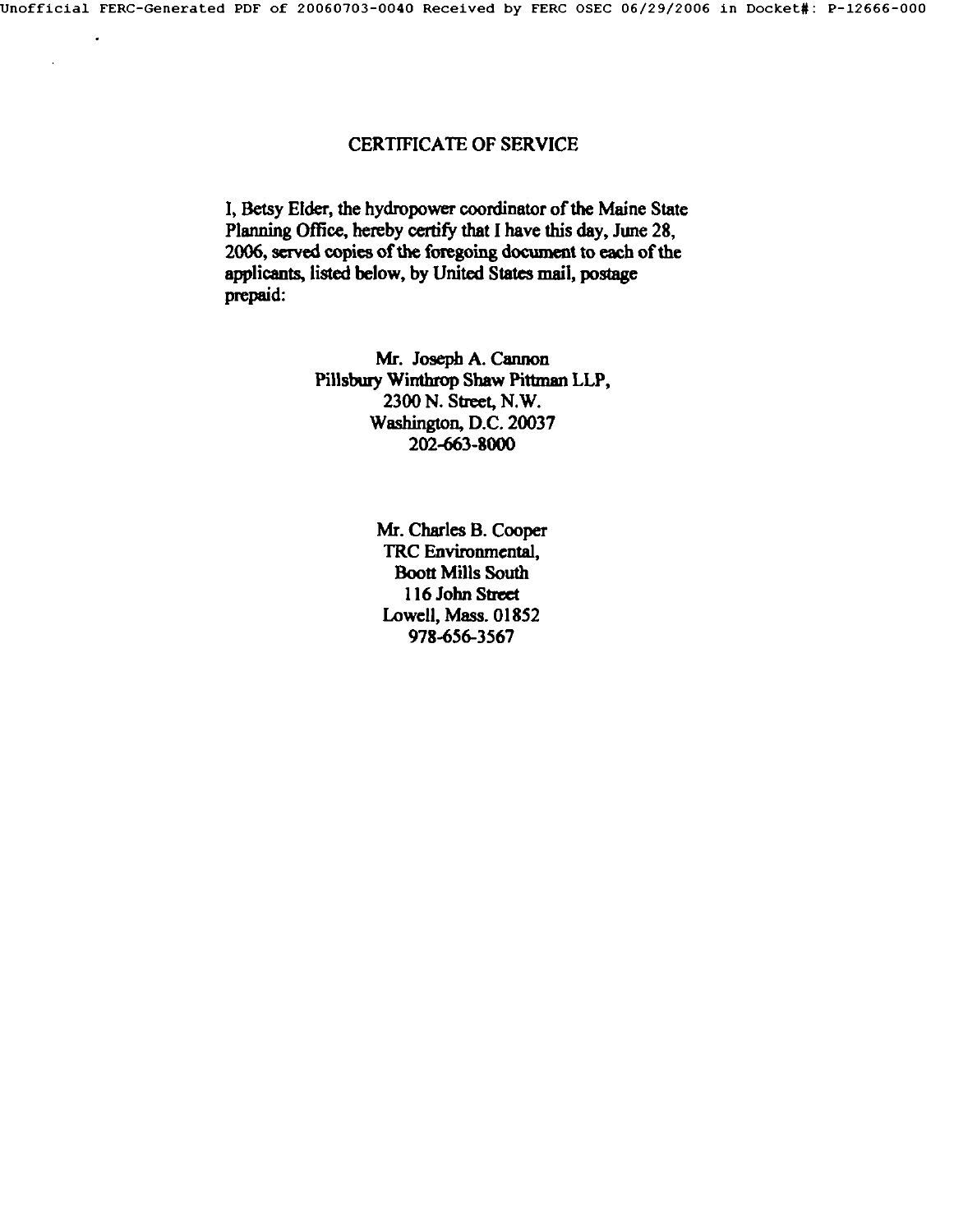Jnofflclal FERC-Generated PDF of 20060703-0040 Received by FERC OSEC *06/29/2006* in Docket#: P-12666-000

# CERTIFICATE OF SERVICE

1, Betsy Elder, the hydropower coordinator of the Maine State Planning Office, hereby certify that I have this day, June 28, 2006, served copies of the foregoing document to each of the applicants, listed below, by United States mail, postage prepaid:

> Mr. Joseph A. Cannon Pillsbury Winthrop Shaw Pittman LLP, 2300 N. Street, N.W. Washington, D.C. 20037 202-663-8000

> > Mr. Charles B. Cooper TRC Environmental, **Boott Mills South** 116 John Street Lowell, Mass. 01852 978-656-3567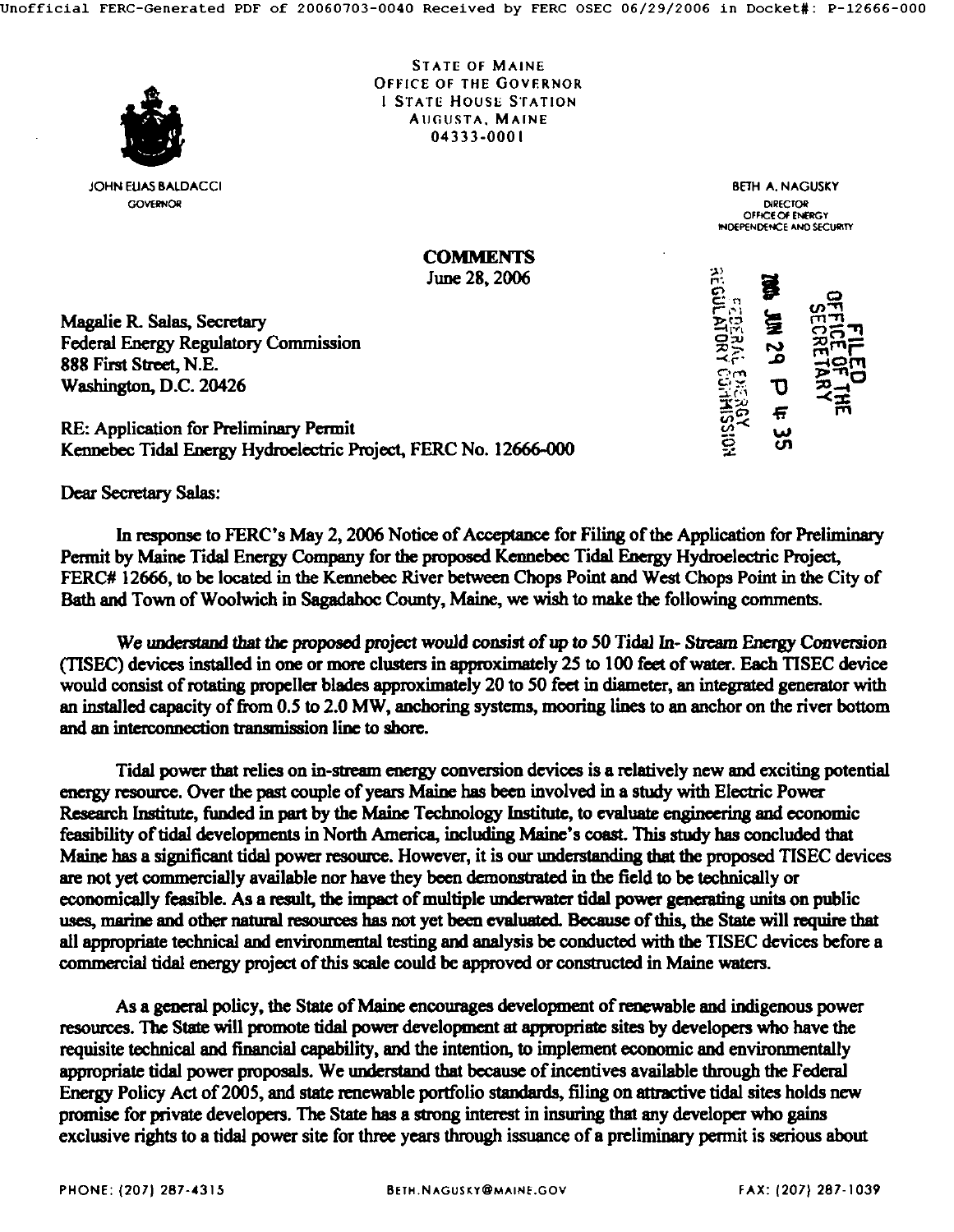

JOHN ELIAS BALDACCI COVERNOR

STATE OF MAINE OFFICE OF THE GOVERNOR 1 STATE HOUSE STATION AUGUSTA. MAINE 04333-0001

> BETH A. NAGUSKY D/RECTOR OFFICE OF ENERGY<br>HIDEPENDENCE AND SECUR

**COMMENTS** June 28, 2006

Magalie R. Salas, Secretary Federal Energy Regulatory Commission 888 First Street, **N.E.**  Washington, D.C. 20426

RE: Application for Preliminary Permit Kennebec Tidal Energy Hydroelectric Project, FERC No. 12666-000

**Dear Secretary Salas:** 

In response to FERC's May 2, 2006 Notice of Acceptance for Filing of the Application for Preliminary Permit by Maine Tidal Energy Company for the proposed Kennebec Tidal Energy Hydroelectric Project, FERC# 12666, to be located in the Kennebec River between Chops Point and West Chops Point in the City of Bath and Town of Woolwich in Sagadahoc County, Maine, we wish to make the following comments.

We understand that the proposed project would consist of up to 50 Tidal In- Stream Energy Conversion (TISEC) devices installed in one or mote clusters in approximately 25 to 100 feet of water. Each TISEC device would consist of rotating propeller blades approximately 20 to 50 feet in diameter, an integrated generator with an installed capacity of from 0.5 to 2.0 MW, anchoring systems, mooring lines to an anchor on the river bottom and an interconnection transmission line to shore.

Tidal power that relies on in-stream energy conversion devices is a relatively new and exciting potential energy resomee. Over the past couple of years Maine has been involved in a study with Electric Power Research Institute, funded in part by the Maine Technology Institute, to evaluate engineering and economic feasibility of tidal developments in North America, including Maine's coast. This study has concluded that Maine has a significant tidal power resource. However, it is our understanding that the proposed TISEC devices are not yet commercially available nor have they been demonstrated in the field to be technically or economically feasible. As a result, the impact of multiple underwater tidal power generating units on public uses, marine and other natural resources has not yet been evaluated. Because of this, the State will require that all appropriate technical and environmental testing and analysis be conducted with the TISEC devices before a commercial tidal energy project of this scale could be approved or constructed in Maine waters.

As a general policy, the State of Maine encourages development of renewable end indigenous power resources. The State will promote tidal power development at appropriate sites by developers who have the requisite technical and financial capability, and the intention, to implement economic and environmentally appropriate tidal power proposals. We understand that because of incentives available through the Federal Energy Policy Act of 2005, and state renewable portfolio standards, filing on attractive tidal sites holds new promise for private developers. The State has a strong interest in insuring that any developer who gains exclusive rights to a tidal power site for three years through issuance of a preliminary permit is serious about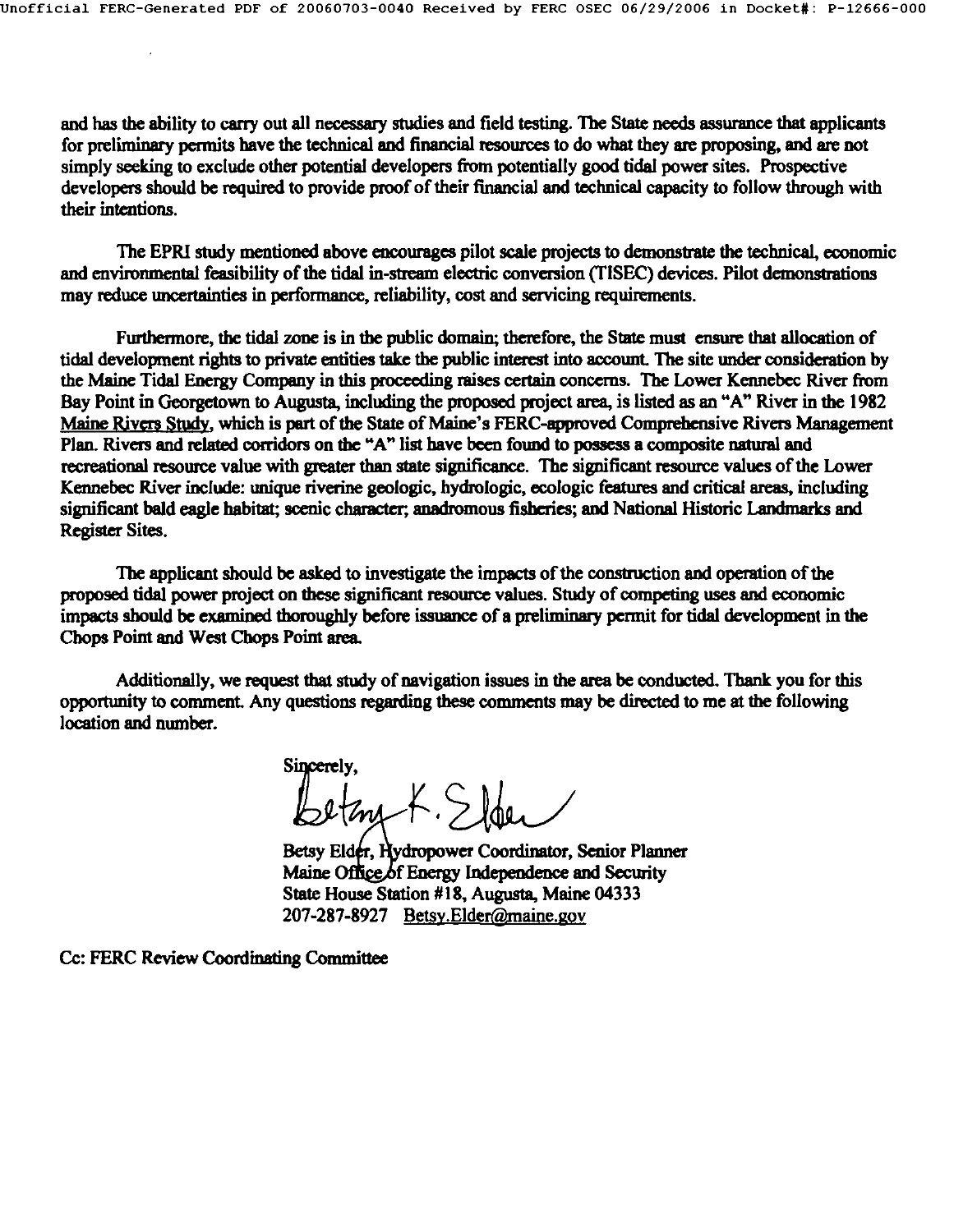and has the ability to carry out all necessary studies and field testing. The State needs assurance that applicants for preliminary permits have the technical and financial resources to do what they are proposing and are not simply seeking to exclude other potential developers from potentially good tidal power sites. Prospective developers should be required to provide proof of their financial and technical capacity to follow through with their intentions.

The EPRI study mentioned above encourages pilot scale projects to demonstrate the technical, economic and environmental feasibility of the tidal in-stream electric conversion (TISEC) devices. Pilot demonstrations may reduce uncertainties in performance, reliability, cost and servicing requirements.

Furthermore, the tidal zone is in the public domain; therefore, the State must ensure that allocation of tidal development rights to private entities take the public imerest into account. The site under consideration by the Maine Tidal Energy Company in this proceeding raises certain concerns. The Lower Kennebec River from Bay Point in Georgetown to Augusta, including the proposed project area, is listed as an "A" River in the 1982 Maine Rivers Study, which is part of the State of Maine's FERC-approved Comprehensive Rivers Management Plan. Rivers and related corridors on the "A" list have been found to possess a composite natural and recreational resource value with greater than state significance. The significant resource values of the Lower Kennebec River include: unique riverine geologic, hydrologic, ecologic features and critical areas, including significant bald eagle habitat; scenic character; anadromous fisheries; and National Historic Landmarks and Register Sites.

The applicant should be asked to investigate the impacts of the construction and operation of the proposed tidal power project on these significant resource values. Study of competing uses and economic impacts should be examined thoroughly before issuance of a preliminary permit for tidal development in the Chops Point and West Chops Point area.

Additionally, we request that study of navigation issues in the area be conducted. Thank you for this opportunity to comment. Any questions regarding these comments may be directed to me at the following location and number.

Sincerely, Bethy K.Sloer

Betsy Eldér, Hydropower Coordinator, Senior Planner Maine Office of Energy Independence and Security State House Station #18, Augusta, Maine **04333**  207-287-8927 Betsy.Elder@maine.gov

Cc: FERC Review Coordinating Committee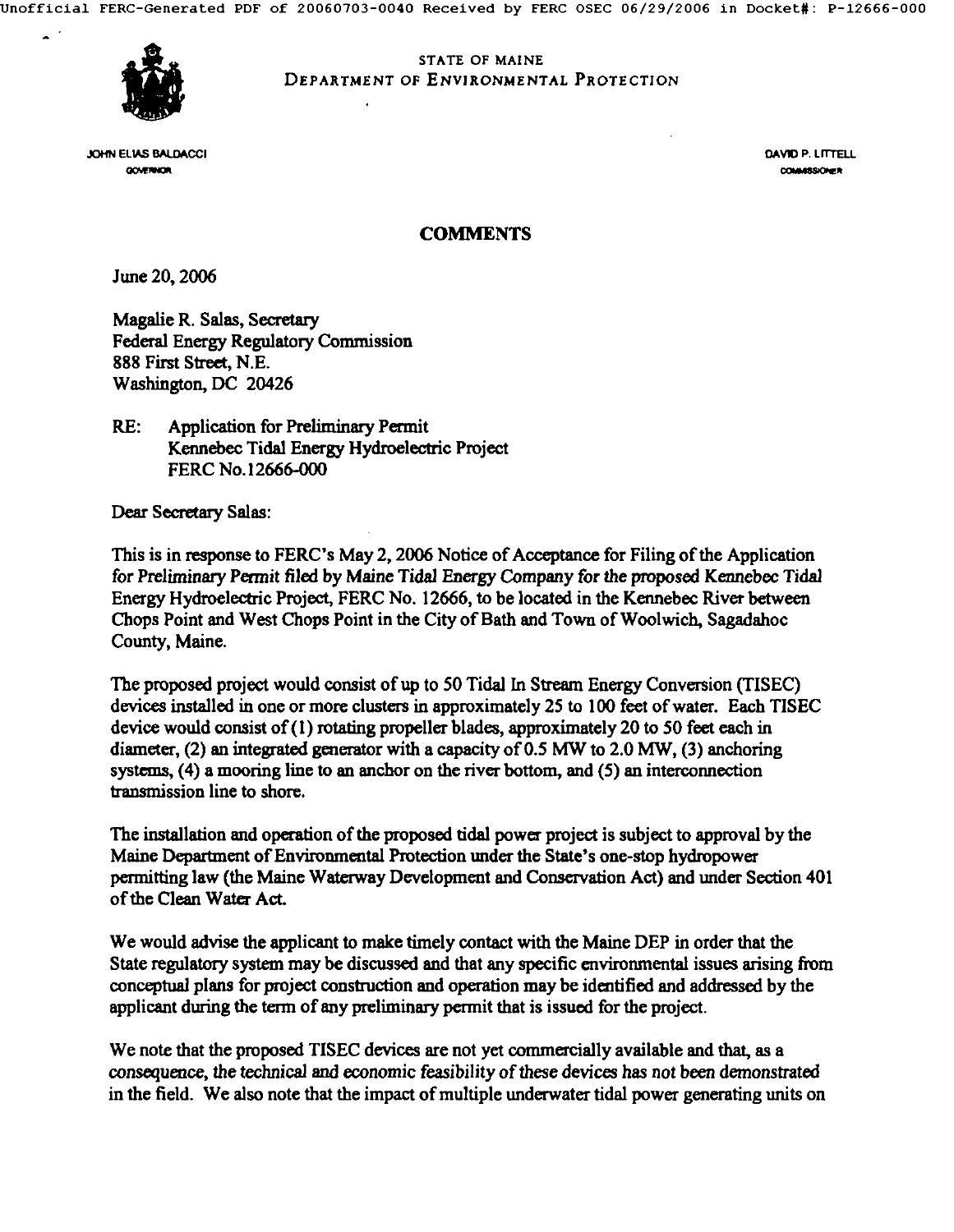STATE OF MAINE DEPARTMENT OF *ENVIRONMENTAL* PROTECTION



**ELIAS BALDACCI** DE CONTRA DE CONTRA DE CONTRA DE CONTRA DE CONTRA DE CONTRA DE CONTRA DE CONTRA DE CONTRA DE CO **OCUPRICA** 

COMMERCIANCE

### **COMMENTS**

June 20, 2006

Magalie R. Salas, Secretary Federal Energy Regulatory Commission **888** First Street, **N.E.**  Washington, DC 20426

RE: Application for Preliminary Permit Kennebec Tidal Energy Hydroelectric Project FERC No.12666-000

Dear Secretary Salas:

This is in response to FERC's May 2, 2006 Notice of Acceptance for Filing of the Application for Preliminary Permit filed by Maine Tidal Energy Company for the proposed Kennebec Tidal Energy Hydroelectric Project, FERC No. 12666, to be located in the Kennebec River between Chops Point and West Chops Point in the City of Bath and Town of Woolwich, Sagadahoc County, Maine.

The proposed project would consist of up to 50 Tidal In Stream Energy Conversion (TISEC) devices installed in one or more clusters in approximately 25 to 100 feet of water. Each TISEC device would consist of (I) rotating propeller blades, approximately 20 to 50 feet each in diameter, (2) an integrated generator with a capacity of  $0.5$  MW to  $2.0$  MW, (3) anchoring systems, (4) a mooring line to an anchor on the river bottom, and (5) an interconnection transmission line to shore.

The installation and operation of the proposed tidal power project is subject to approval by the Maine Department of Environmental Protection under the State's one-stop hydropower permitting law (the Maine Waterway Development and Conservation Act) and under Section 401 of the Clean Water Act.

We would advise the applicant to make timely contact with the Maine DEP in order that the State regulatory system may be discussed and that any specific environmental issues arising from conceptual plans for project construction and operation may be idmtified and addressed by the applicant during the term of any preliminary permit that is issued for the project.

We note that the proposed TISEC devices are not yet commercially available and that, as a consequence, the technical and economic feasibility of these devices has not been demonstrated in the field. We also note that the impact of multiple underwater tidal power generating units on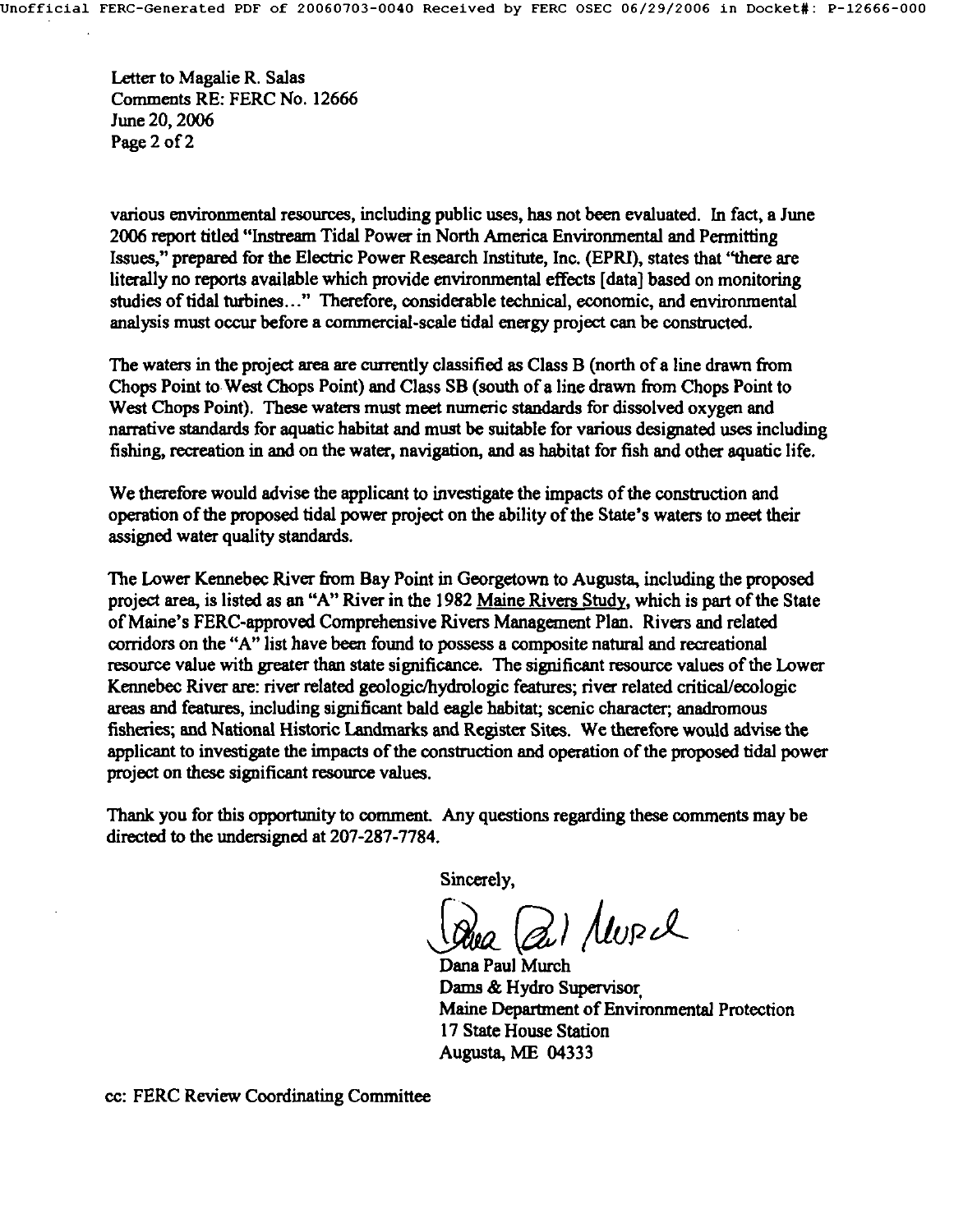Letter to Magalie R. Salas Comments RE: FERC No. 12666 June 20, 2006 Page 2 of 2

various environmental resources, including public uses, has not been evaluated. In fact, a June 2006 report titled "Inatream Tidal Power in North America Environmental and Permitting Issues," prepared for the Electric Power Research Institute, Inc. (EPRI), states that "there are literally no reports available which provide environmental effects [data] based on monitoring studies of tidal turbines..." Therefore, considerable technical, economic, and environmental analysis must occur before a commercial-scale tidal energy project can be constructed.

The waters in the project area are currently classified as Class B (north of a line drawn from Chops Point to West Chops Point) and Class SB (south of a line drawn from Chops Point to West Chops Point). These waters must meet numeric standards for dissolved oxygen and narrative standards for aquatic habitat and must be suitable for various designated uses including fishing, recreation in and on the water, navigation, and as habitat for fish and other aquatic life.

We therefore would advise the applicant to investigate the impacts of the construction and operation of the proposed tidal power project on the ability of the State's waters to meet their assigned water quality standards.

The Lower Kennebec River from Bay Point in Georgetown to Augusta, including the proposed project area, is listed as an "A" River in the 1982 Maine Rivers Study, which is part of the State of Maine's FERC-approved Comprehensive Rivers Management Plan. Rivers and related corridors on the "A" list have been found to possess a composite natural and recreational resource value with greater than state significance. The significant resource values of the Lower Kennebec River are: fiver related geologic/hydrologic features; river related eritical/ecologic areas and features, including significant bald eagle habitat; scenic character; anadromous fisheries; and National Historic Landmarks and Register Sites. We therefore would advise the applicant to investigate the impacts of the construction and operation of the proposed tidal power project on these significant resource values.

Thank you for this opportunity to comment. Any questions regarding these comments may be directed to the undersigned at 207-287-7784.

Sincerely,

Qui MURIL

Dana Paul Murch Dams & Hydro Supervisor Maine Department of Environmental Protection 17 State House Station Augusta, ME 04333

co: FERC Review Coordinating Committee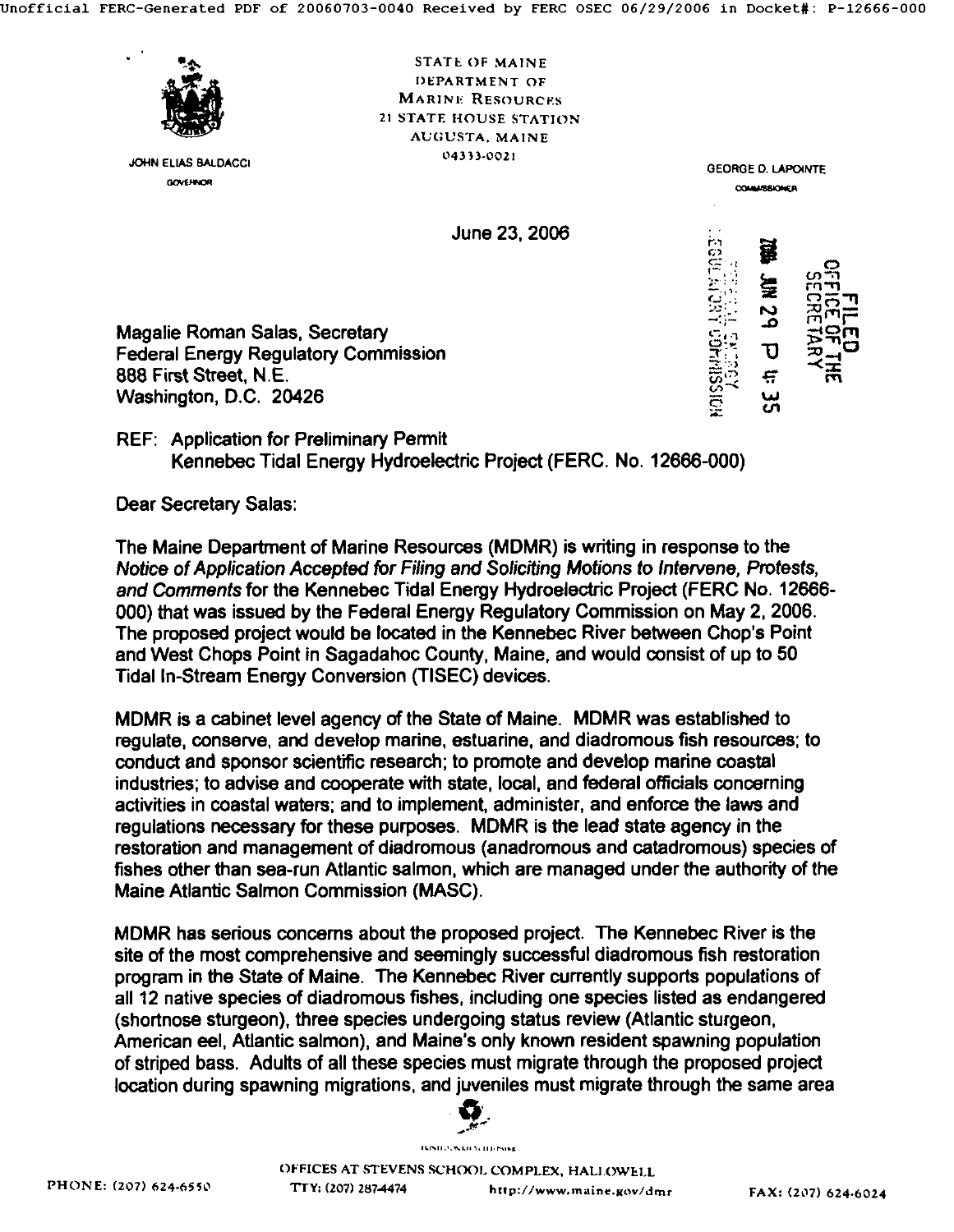

JOHN ELIAS BALDACCI **GOVERNOR** 

STATE OF MAINE DEPARTMENT OF MARINE RESOURCES 21 STATE HOUSE STATION AUGUSTA. MAINE  $04333.0021$ 

> COMM/SSIONER  $z$ ''  $z$   $\sim$ 2111 **g** mini  $\sim$  rrlft $\sim$   $\sim$   $\sim$

> > ັຕົ

GEORGE D. LAPOINTE

June 23, 2006

Magalie Roman Salas, Secretary Federal Energy Regulatory Commission 888 First Street, N.E. Washington, D.C. 20426

REF: Application for Preliminary Permit Kennebec Tidal Energy Hydroelectric Project (FERC. No. 12666-000)

Dear Secretary Salas:

The Maine Department of Marine Resources (MDMR) is writing in response to the *Notice of Application Accepted for Filing and Soliciting Motions to Intervene, Protests, and Comments* for the Kennebec Tidal Energy Hydroelectric Project (FERC No. 12666- 000) that was issued by the Federal Energy Regulatory Commission on May 2, 2006. The proposed project would be located in the Kennebec River between Chop's Point and West Chops Point in Sagadahoc County, Maine, and would consist of up to 50 Tidal In-Stream Energy Conversion (TISEC) devices.

MDMR is a cabinet level agency of the State of Maine. MDMR was established to regulate, conserve, and develop marine, estuarine, and diadromous fish resources; to conduct and sponsor scientific research; to promote and develop marine coastal industries; to advise and cooperate with state, local, and federal officials concaming activities in coastal waters; and to implement, administer, and enforce the laws and regulations necessary for these purposes. MDMR is the lead state agency in the restoration and management of diadromous (anadromous and catadromous) species of fishes other than sea-run Atlantic salmon, which are managed under the authority of the Maine Atlantic Salmon Commission (MASC).

MDMR has serious concerns about the proposed project. The Kennebec River is the site of the most comprehensive and seemingly successful diadromous fish restoration program in the State of Maine. The Kennebec River currently supports populations of all 12 native species of diadromous fishes, including one species listed as endangered (shortnose sturgeon), three species undergoing status review (Atlantic sturgeon, American eel, Atlantic salmon), and Maine's only known resident spawning population of striped bass. Adults of all these species must migrate through the proposed project location during spawning migrations, and juveniles must migrate through the same area

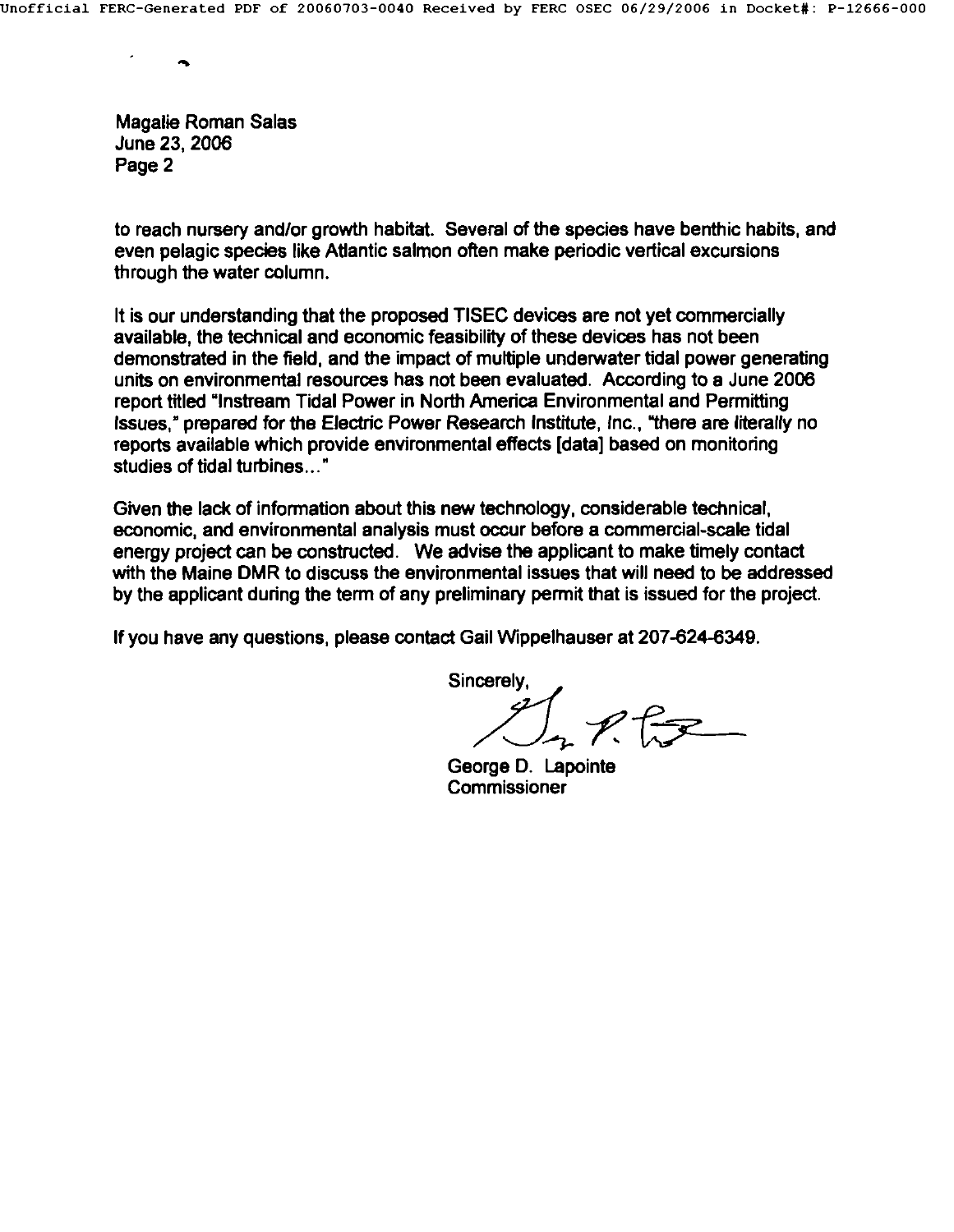**Magalle Roman Salas**  June 23, 2006 Page 2

to reach nursery and/or growth habitat. Several of the species have benthic habits, and even pelagic species like Atlantic salmon often make periodic vertical excursions through the water column.

It is our understanding that the proposed TISEC devices are not yet commercially available, the technical and economic feasibility of these devices has not been demonstrated in the field, and the impact of multiple underwater tidal power generating units on environmental resources has not been evaluated. According to a June 2006 report titled "Instream Tidal Power in North America Environmental and Permitting Issues," prepared for the Electric Power Research Institute, Inc., "there are literally no reports available which provide environmental effects [data] based on monitoring studies of tidal turbines..."

Given the lack of information about this new technology, considerable technical, economic, and environmental analysis must occur before a commercial-scale tidal energy project can be constructed. We advise the applicant to make timely contact with the Maine DMR to discuss the environmental issues that will need to be addressed by the applicant during the term of any preliminary permit that is issued for the project.

If you have any questions, please contact Gail Wippelhauser at 207-624-6349.

Sincerely.

 $P$ 

George D. Lapointe Commissioner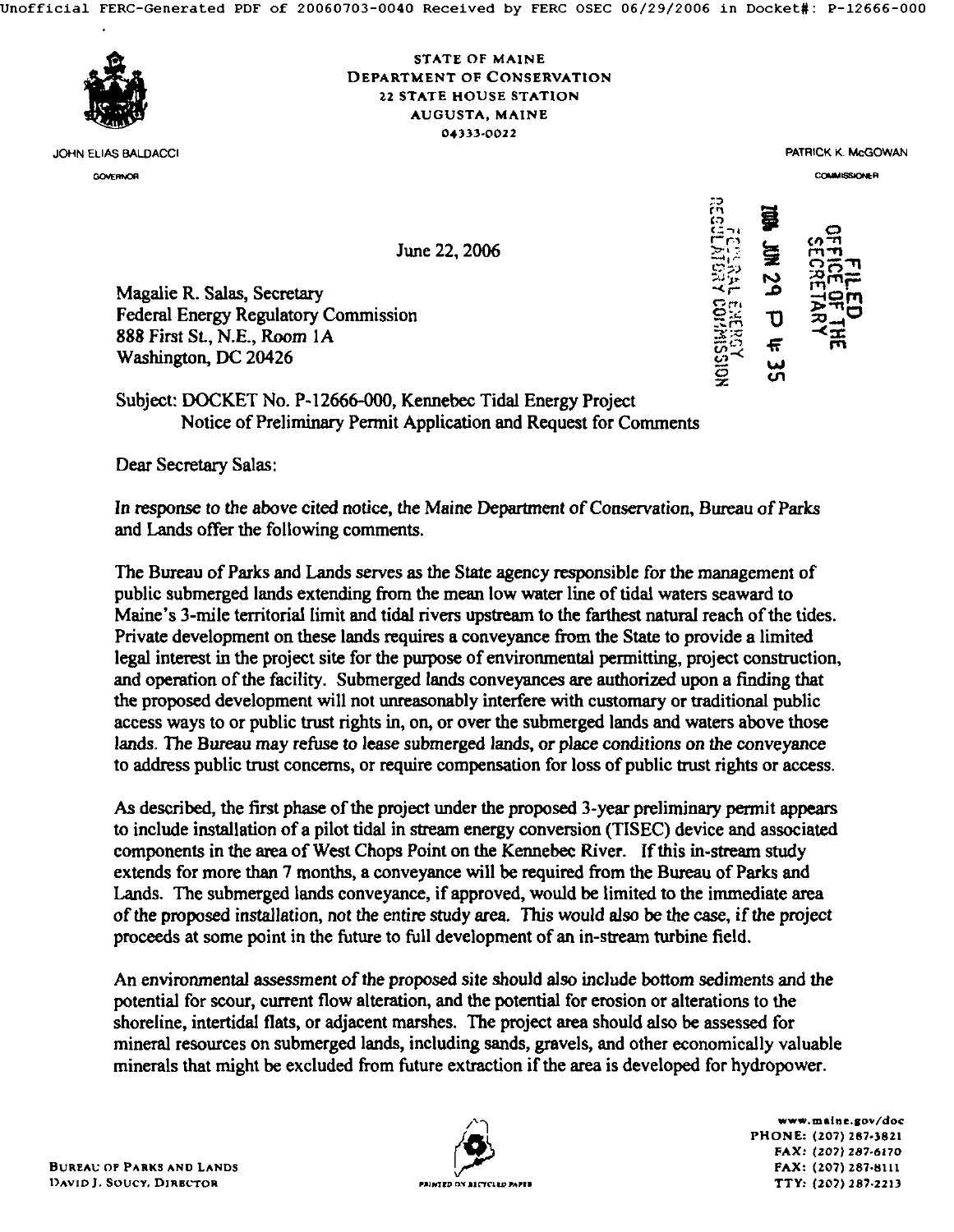

JOHN ELIAS BALDACCI GOVERNOR

### STATE OF MAINE DEPARTMENT OF CONSERVATION 22 STATE HOUSE STATION AUGUSTA, MAINE *04333.0022*

PATRICK K. McGOWAN

COMMISSIONER

2D

ຂີ ພ

June 22, 2006

Magalie R. Salas, Secretary Federal Energy Regulatory Commission 888 First St., N.E., Room 1A Washington, DC 20426

# Subject: DOCKET No. P-12666-000, Kennebec Tidal Energy Project Notice of Preliminary Permit Application and Request for Comments

Dear Secretary Salas:

In response to the above cited notice, the Maine Department of Consercation, Bureau of Parks and Lands offer the following comments.

The Bureau of Parks and Lands serves as the State agency responsible for the management of public submerged lands extending from the mean low water line of tidal waters seaward to Maine's 3-mile territorial limit and tidal rivers upstream to the farthest natural reach of the tides. Private development on these lands requires a conveyance from the State to provide a limited legal interest in the project site for the purpose of environmental permitting, project construction, and operation of the facility. Submerged lands conveyances are authorized upon a finding that the proposed development will not unreasonably interfere with customary or traditional public access ways to or public trust rights in, on, or over the submerged lands and waters above those lands. The Bureau may refuse to lease submerged lands, or place conditions *on the* conveyance to address public trust concerns, or require compensation for loss of public trust rights or access.

As described, the first phase of the project under the proposed 3-year preliminary permit appears to include installation of a pilot tidal in stream energy conversion (TISEC) device and associated components in the area of West Chops Point on the Kennebec River. If this in-stream study extends for more than 7 months, a conveyance will be required from the Bureau of Parks and Lands. The submerged lands conveyance, if approved, would be limited to the immediate area of the proposed installation, not the entire study area. This would also be the case, if the project proceeds at some point in the future to full development of an in-stream turbine field.

An environmental assessmem of the proposed site should also include bottom sediments and the potential for scour, current flow alteration, and the potential for erosion or alterations to the shoreline, intertidal fiats, or adjacent marshes. The project area should also be assessed for mineral resources on submerged lands, including sands, gravels, and other economically valuable minerals that might be excluded from future extraction if the area is developed for hydropower.



*www.malne.Bov/doc*  PHONE: (207) 287-3821 *FAX:* (207) 287-6170 FAX: (207) 287-8111 TTY: (207) 287-2213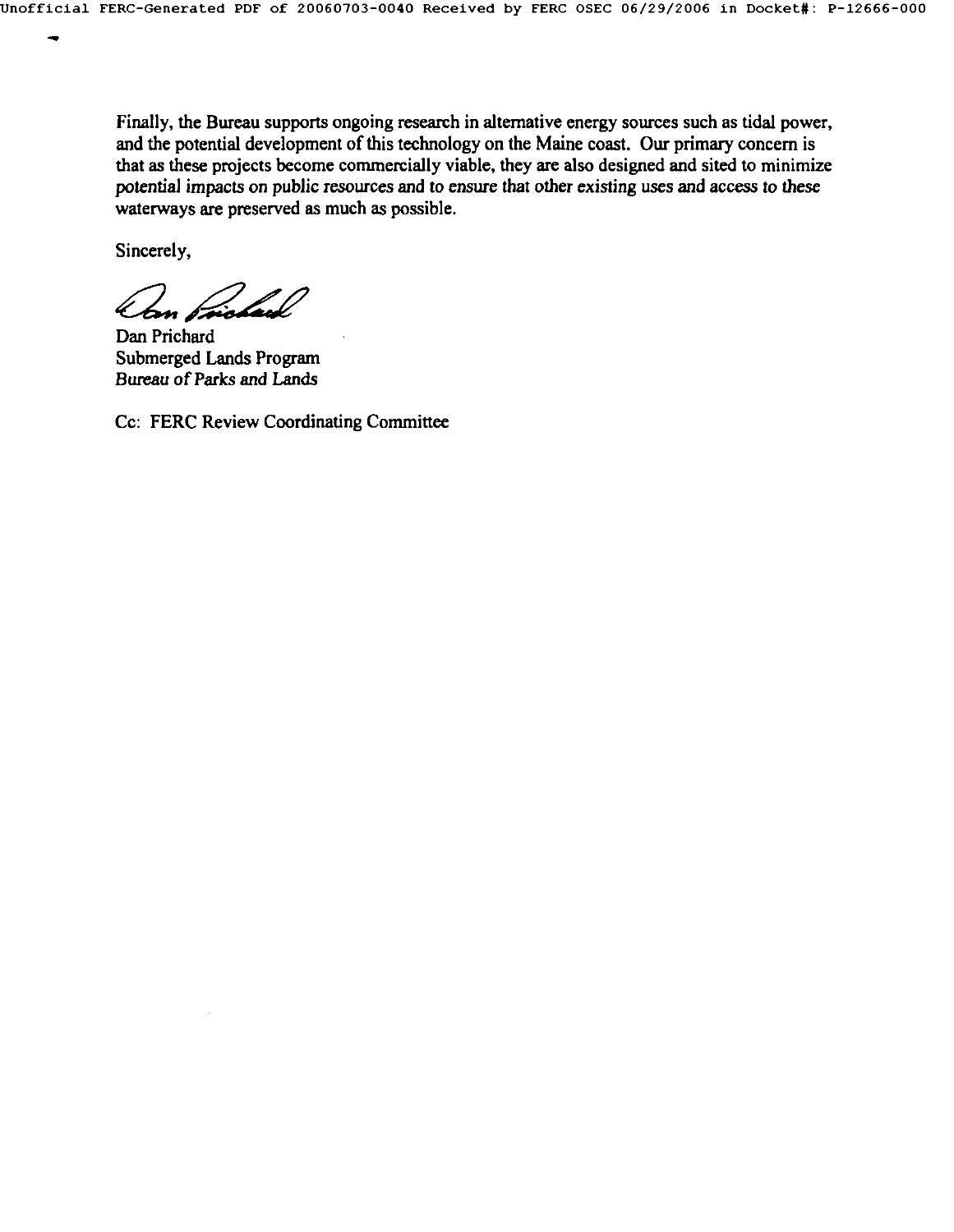Finally, the Bureau supports ongoing research in alternative energy sources such as tidal power, and the potential development of this technology on the Maine coast. Our primary concern is that as these projects become commercially viable, they arc also designed and sited to minimize potential impacts on public resources and to ensure that other existing uses and access to these waterways are preserved as much as possible.

Sincerely,

Dan Prichard Submerged Lands Program *Bureau of Parks and Lands* 

Co: FERC Review Coordinating Committec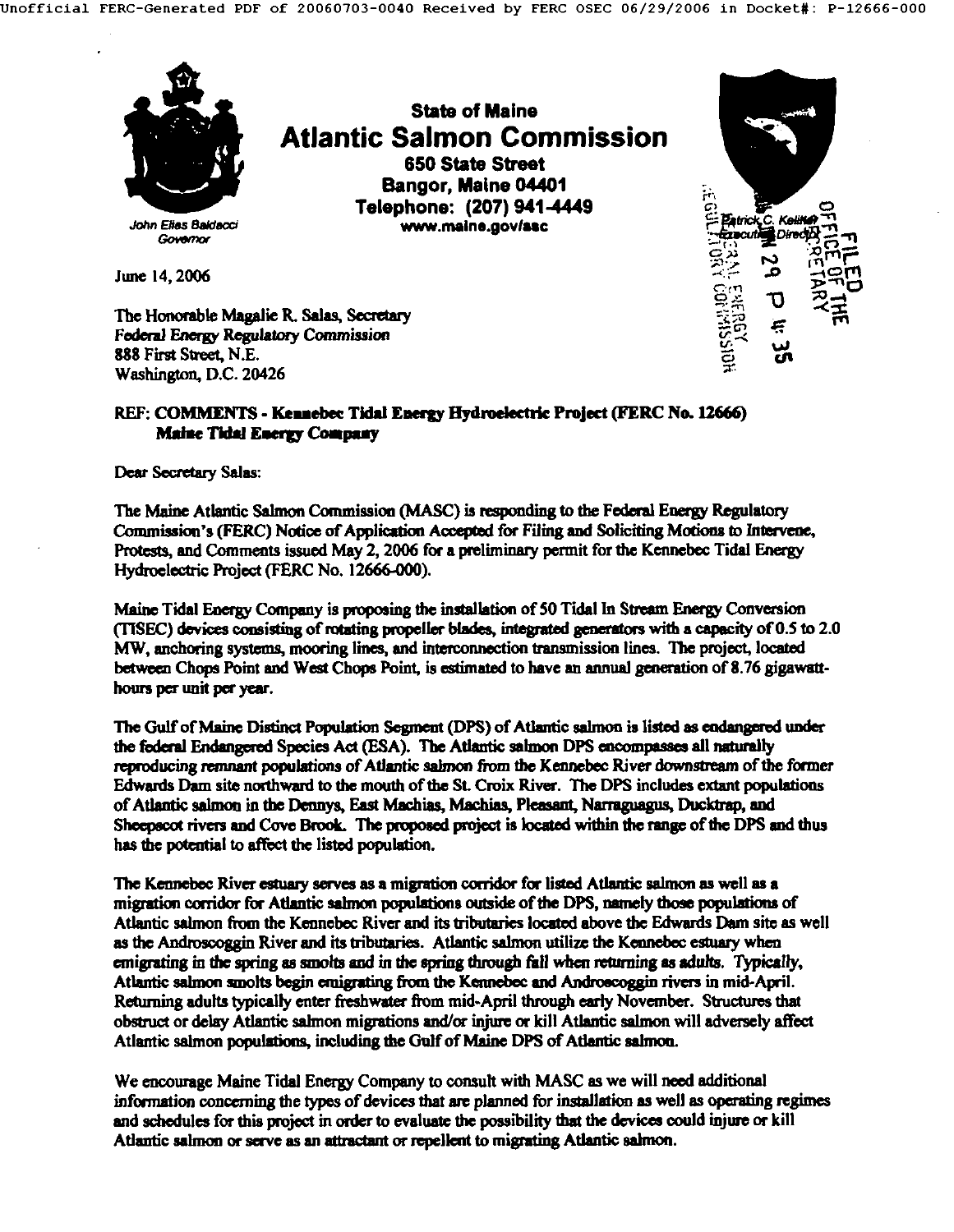

### REF: COMMENTS - Kennebec Tidal Energy Hydroelectric Project (FERC No. 12666) **Maine Tidal Energy Company**

**Dear Secretary Sales:** 

The Maine Atlantic Salmon Commission (MASC) is responding to the Federal Energy Regulatory Commission's (FERC) Notice of Application Accepted for Filing and Soliciting Motions to Intervene, Protests, and Comments issued May 2, 2006 for a preliminary permit for the Kennebec Tidal Enersy Hydroelectric Project (FERC No. 12666-000).

Maine Tidal Energy Company is proposing the installation of 50 Tidal In Stream Energy Conversion (TISEC) devices consisting of rotating propeller blades, integrated generators with a capacity of  $0.5$  to  $2.0$ MW, anchoring systems, mooring lines, and interconnection transmission lines. The project, located between Chops Point and West Chops Point, is estimated to have an annual generation of 8.76 gigawstthours per unit per year.

The Gulf of Maine Distinct Population Segment (DPS) of Atlantic salmon is listed as endangered under the federal Endangered Species Act (ESA). The Atlantic salmon DPS encompasses all naturally reproducing remnant populations of Atlantic salmon from the Kennebec River downstream of the former Edwards Dam site northward to the mouth of the St. Croix River. The DPS includes extant populations of Atlantic salmon in the Dennys, East Machias, Machias, Pleasant, Narraguagus, Ducktrap, and Sheepscot rivers and Cove Brook. The proposed project is located within the range of the DPS and thus has the potential to affect the listed population.

The Kennebec River estuary serves as a migration corridor for listed Atlantic salmon as well as a migration con'idor for Atlantic salmon populations onlside of the DPS, namely those populations of Atlantic salmon from the Kennebec River and its tributaries located above the Edwards Dam site as well as the Androscoggin River and its tributaries. Atlantic salmon utilize the Kennebec estuary when emigrating in the spring as smolts and in the spring through fall when returning as adults. Typically, Atlantic salmon smolts begin emigrating from the Kennebec and Androscoggin rivers in mid-April. Returning adults typically enter freshwater from mid-April through early November. Structures that obstruct or delay Atlantic salmon migrations and/or injure or kill Atlantic salmon will adversely affect Atlantic salmon populations, including the Gulf of Maine DPS of Atlantic salmon.

We encourage Maine Tidal Energy Company to consult with MASC as we will need additional information concerning the types of devices that are planned for installation as well as operating regimes and schedules for this project in order to evaluate the possibility that the devices could injure or kill Atlantic salmon or serve as an attractant or repellent to migrating Atlantic salmon.